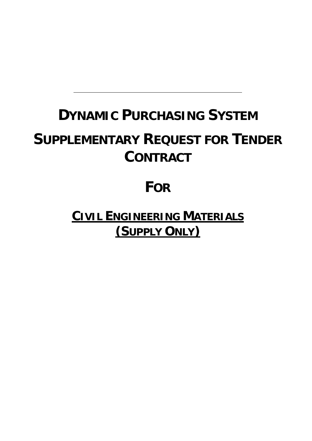# **DYNAMIC PURCHASING SYSTEM**

# **SUPPLEMENTARY REQUEST FOR TENDER CONTRACT**

# **FOR**

**CIVIL ENGINEERING MATERIALS (SUPPLY ONLY)**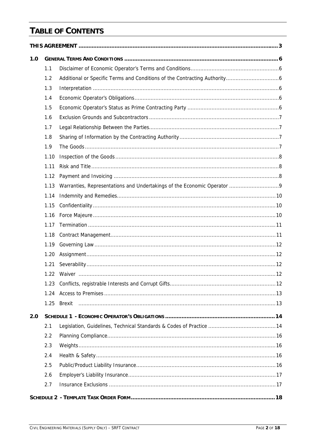# **TABLE OF CONTENTS**

| 1.0 |      |  |  |  |
|-----|------|--|--|--|
|     | 1.1  |  |  |  |
|     | 1.2  |  |  |  |
|     | 1.3  |  |  |  |
|     | 1.4  |  |  |  |
|     | 1.5  |  |  |  |
|     | 1.6  |  |  |  |
|     | 1.7  |  |  |  |
|     | 1.8  |  |  |  |
|     | 1.9  |  |  |  |
|     | 1.10 |  |  |  |
|     | 1.11 |  |  |  |
|     | 1.12 |  |  |  |
|     | 1.13 |  |  |  |
|     | 1.14 |  |  |  |
|     | 1.15 |  |  |  |
|     | 1.16 |  |  |  |
|     | 1.17 |  |  |  |
|     | 1.18 |  |  |  |
|     | 1.19 |  |  |  |
|     | 1.20 |  |  |  |
|     | 1.21 |  |  |  |
|     |      |  |  |  |
|     |      |  |  |  |
|     | 1.24 |  |  |  |
|     |      |  |  |  |
| 2.0 |      |  |  |  |
|     | 2.1  |  |  |  |
|     | 2.2  |  |  |  |
|     | 2.3  |  |  |  |
|     | 2.4  |  |  |  |
|     | 2.5  |  |  |  |
|     | 2.6  |  |  |  |
|     | 2.7  |  |  |  |
|     |      |  |  |  |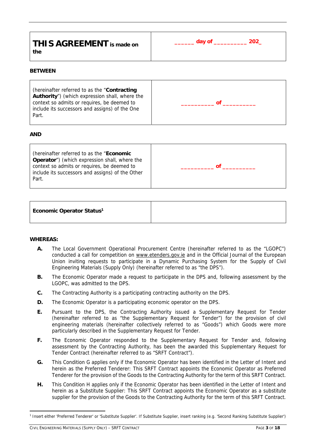| day of _ | 202 |
|----------|-----|
|          |     |
|          |     |

#### **BETWEEN**

| (hereinafter referred to as the "Contracting<br>Authority") (which expression shall, where the<br>context so admits or requires, be deemed to<br>include its successors and assigns) of the One<br>Part. |  |
|----------------------------------------------------------------------------------------------------------------------------------------------------------------------------------------------------------|--|
|----------------------------------------------------------------------------------------------------------------------------------------------------------------------------------------------------------|--|

#### **AND**

(hereinafter referred to as the "**Economic Operator**") (which expression shall, where the context so admits or requires, be deemed to include its successors and assigns) of the Other Part. **\_\_\_\_\_\_\_\_\_\_ of \_\_\_\_\_\_\_\_\_\_**

| Economic Operator Status <sup>1</sup> |
|---------------------------------------|
|---------------------------------------|

# **WHEREAS:**

- **A.** The Local Government Operational Procurement Centre (hereinafter referred to as the "LGOPC") conducted a call for competition on www.etenders.gov.ie and in the Official Journal of the European Union inviting requests to participate in a Dynamic Purchasing System for the Supply of Civil Engineering Materials (Supply Only) (hereinafter referred to as "the DPS").
- **B.** The Economic Operator made a request to participate in the DPS and, following assessment by the LGOPC, was admitted to the DPS.
- **C.** The Contracting Authority is a participating contracting authority on the DPS.
- **D.** The Economic Operator is a participating economic operator on the DPS.
- **E.** Pursuant to the DPS, the Contracting Authority issued a Supplementary Request for Tender (hereinafter referred to as "the Supplementary Request for Tender") for the provision of civil engineering materials (hereinafter collectively referred to as "Goods") which Goods were more particularly described in the Supplementary Request for Tender.
- **F.** The Economic Operator responded to the Supplementary Request for Tender and, following assessment by the Contracting Authority, has been the awarded this Supplementary Request for Tender Contract (hereinafter referred to as "SRFT Contract").
- **G.** This Condition G applies only if the Economic Operator has been identified in the Letter of Intent and herein as the Preferred Tenderer: This SRFT Contract appoints the Economic Operator as Preferred Tenderer for the provision of the Goods to the Contracting Authority for the term of this SRFT Contract.
- **H.** This Condition H applies only if the Economic Operator has been identified in the Letter of Intent and herein as a Substitute Supplier: This SRFT Contract appoints the Economic Operator as a substitute supplier for the provision of the Goods to the Contracting Authority for the term of this SRFT Contract.

<sup>&</sup>lt;sup>1</sup> Insert either 'Preferred Tenderer' or 'Substitute Supplier'. If Substitute Supplier, insert ranking (e.g. 'Second Ranking Substitute Supplier')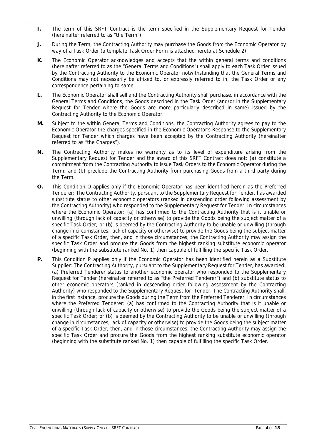- **I.** The term of this SRFT Contract is the term specified in the Supplementary Request for Tender (hereinafter referred to as "the Term").
- **J.** During the Term, the Contracting Authority may purchase the Goods from the Economic Operator by way of a Task Order (a template Task Order Form is attached hereto at Schedule 2).
- **K.** The Economic Operator acknowledges and accepts that the within general terms and conditions (hereinafter referred to as the "General Terms and Conditions") shall apply to each Task Order issued by the Contracting Authority to the Economic Operator notwithstanding that the General Terms and Conditions may not necessarily be affixed to, or expressly referred to in, the Task Order or any correspondence pertaining to same.
- **L.** The Economic Operator shall sell and the Contracting Authority shall purchase, in accordance with the General Terms and Conditions, the Goods described in the Task Order (and/or in the Supplementary Request for Tender where the Goods are more particularly described in same) issued by the Contracting Authority to the Economic Operator.
- **M.** Subject to the within General Terms and Conditions, the Contracting Authority agrees to pay to the Economic Operator the charges specified in the Economic Operator's Response to the Supplementary Request for Tender which charges have been accepted by the Contracting Authority (hereinafter referred to as "the Charges").
- **N.** The Contracting Authority makes no warranty as to its level of expenditure arising from the Supplementary Request for Tender and the award of this SRFT Contract does not: (a) constitute a commitment from the Contracting Authority to issue Task Orders to the Economic Operator during the Term; and (b) preclude the Contracting Authority from purchasing Goods from a third party during the Term.
- **O.** This Condition O applies only if the Economic Operator has been identified herein as the Preferred Tenderer: The Contracting Authority, pursuant to the Supplementary Request for Tender, has awarded substitute status to other economic operators (ranked in descending order following assessment by the Contracting Authority) who responded to the Supplementary Request for Tender. In circumstances where the Economic Operator: (a) has confirmed to the Contracting Authority that is it unable or unwilling (through lack of capacity or otherwise) to provide the Goods being the subject matter of a specific Task Order; or (b) is deemed by the Contracting Authority to be unable or unwilling (through change in circumstances, lack of capacity or otherwise) to provide the Goods being the subject matter of a specific Task Order, then, and in those circumstances, the Contracting Authority may assign the specific Task Order and procure the Goods from the highest ranking substitute economic operator (beginning with the substitute ranked No. 1) then capable of fulfilling the specific Task Order.
- **P.** This Condition P applies only if the Economic Operator has been identified herein as a Substitute Supplier: The Contracting Authority, pursuant to the Supplementary Request for Tender, has awarded: (a) Preferred Tenderer status to another economic operator who responded to the Supplementary Request for Tender (hereinafter referred to as "the Preferred Tenderer") and (b) substitute status to other economic operators (ranked in descending order following assessment by the Contracting Authority) who responded to the Supplementary Request for Tender. The Contracting Authority shall, in the first instance, procure the Goods during the Term from the Preferred Tenderer. In circumstances where the Preferred Tenderer: (a) has confirmed to the Contracting Authority that is it unable or unwilling (through lack of capacity or otherwise) to provide the Goods being the subject matter of a specific Task Order; or (b) is deemed by the Contracting Authority to be unable or unwilling (through change in circumstances, lack of capacity or otherwise) to provide the Goods being the subject matter of a specific Task Order, then, and in those circumstances, the Contracting Authority may assign the specific Task Order and procure the Goods from the highest ranking substitute economic operator (beginning with the substitute ranked No. 1) then capable of fulfilling the specific Task Order.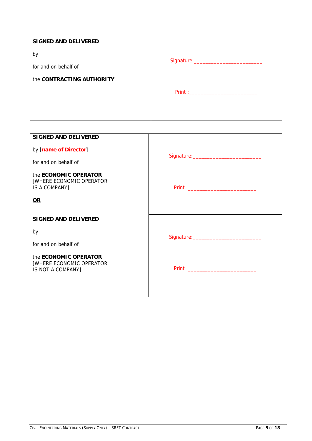| <b>SIGNED AND DELIVERED</b> |  |  |
|-----------------------------|--|--|
| by                          |  |  |
| for and on behalf of        |  |  |
| the CONTRACTING AUTHORITY   |  |  |
|                             |  |  |
|                             |  |  |
|                             |  |  |

| <b>SIGNED AND DELIVERED</b>                                               |  |
|---------------------------------------------------------------------------|--|
| by [name of Director]                                                     |  |
| for and on behalf of                                                      |  |
| the <b>ECONOMIC OPERATOR</b><br>[WHERE ECONOMIC OPERATOR<br>IS A COMPANY] |  |
| $OR$                                                                      |  |
| <b>SIGNED AND DELIVERED</b>                                               |  |
| by                                                                        |  |
| for and on behalf of                                                      |  |
| the ECONOMIC OPERATOR<br>[WHERE ECONOMIC OPERATOR<br>IS NOT A COMPANY]    |  |
|                                                                           |  |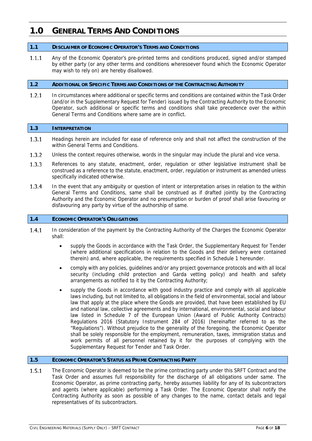# **1.0 GENERAL TERMS AND CONDITIONS**

# **1.1 DISCLAIMER OF ECONOMIC OPERATOR'S TERMS AND CONDITIONS**

Any of the Economic Operator's pre-printed terms and conditions produced, signed and/or stamped  $1.1.1$ by either party (or any other terms and conditions wheresoever found which the Economic Operator may wish to rely on) are hereby disallowed.

# **1.2 ADDITIONAL OR SPECIFIC TERMS AND CONDITIONS OF THE CONTRACTING AUTHORITY**

 $1.2.1$ In circumstances where additional or specific terms and conditions are contained within the Task Order (and/or in the Supplementary Request for Tender) issued by the Contracting Authority to the Economic Operator, such additional or specific terms and conditions shall take precedence over the within General Terms and Conditions where same are in conflict.

# **1.3 INTERPRETATION**

- 1.3.1 Headings herein are included for ease of reference only and shall not affect the construction of the within General Terms and Conditions.
- $1.3.2$ Unless the context requires otherwise, words in the singular may include the plural and vice versa.
- $1.3.3$ References to any statute, enactment, order, regulation or other legislative instrument shall be construed as a reference to the statute, enactment, order, regulation or instrument as amended unless specifically indicated otherwise.
- $1.3.4$ In the event that any ambiguity or question of intent or interpretation arises in relation to the within General Terms and Conditions, same shall be construed as if drafted jointly by the Contracting Authority and the Economic Operator and no presumption or burden of proof shall arise favouring or disfavouring any party by virtue of the authorship of same.

# **1.4 ECONOMIC OPERATOR'S OBLIGATIONS**

- $1.4.1$ In consideration of the payment by the Contracting Authority of the Charges the Economic Operator shall:
	- supply the Goods in accordance with the Task Order, the Supplementary Request for Tender (where additional specifications in relation to the Goods and their delivery were contained therein) and, where applicable, the requirements specified in Schedule 1 hereunder.
	- comply with any policies, guidelines and/or any project governance protocols and with all local security (including child protection and Garda vetting policy) and health and safety arrangements as notified to it by the Contracting Authority;
	- supply the Goods in accordance with good industry practice and comply with all applicable laws including, but not limited to, all obligations in the field of environmental, social and labour law that apply at the place where the Goods are provided, that have been established by EU and national law, collective agreements and by international, environmental, social and labour law listed in Schedule 7 of the European Union (Award of Public Authority Contracts) Regulations 2016 (Statutory Instrument 284 of 2016) (hereinafter referred to as the "Regulations"). Without prejudice to the generality of the foregoing, the Economic Operator shall be solely responsible for the employment, remuneration, taxes, immigration status and work permits of all personnel retained by it for the purposes of complying with the Supplementary Request for Tender and Task Order.

# **1.5 ECONOMIC OPERATOR'S STATUS AS PRIME CONTRACTING PARTY**

 $1.5.1$ The Economic Operator is deemed to be the prime contracting party under this SRFT Contract and the Task Order and assumes full responsibility for the discharge of all obligations under same. The Economic Operator, as prime contracting party, hereby assumes liability for any of its subcontractors and agents (where applicable) performing a Task Order. The Economic Operator shall notify the Contracting Authority as soon as possible of any changes to the name, contact details and legal representatives of its subcontractors.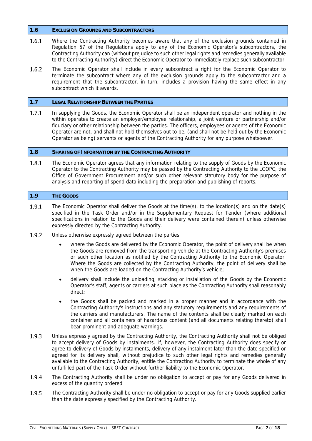#### **1.6 EXCLUSION GROUNDS AND SUBCONTRACTORS**

- 1.6.1 Where the Contracting Authority becomes aware that any of the exclusion grounds contained in Regulation 57 of the Regulations apply to any of the Economic Operator's subcontractors, the Contracting Authority can (without prejudice to such other legal rights and remedies generally available to the Contracting Authority) direct the Economic Operator to immediately replace such subcontractor.
- $1.6.2$ The Economic Operator shall include in every subcontract a right for the Economic Operator to terminate the subcontract where any of the exclusion grounds apply to the subcontractor and a requirement that the subcontractor, in turn, includes a provision having the same effect in any subcontract which it awards.

#### **1.7 LEGAL RELATIONSHIP BETWEEN THE PARTIES**

In supplying the Goods, the Economic Operator shall be an independent operator and nothing in the  $1.7.1$ within operates to create an employer/employee relationship, a joint venture or partnership and/or fiduciary or other relationship between the parties. The officers, employees or agents of the Economic Operator are not, and shall not hold themselves out to be, (and shall not be held out by the Economic Operator as being) servants or agents of the Contracting Authority for any purpose whatsoever.

#### **1.8 SHARING OF INFORMATION BY THE CONTRACTING AUTHORITY**

The Economic Operator agrees that any information relating to the supply of Goods by the Economic 1.8.1 Operator to the Contracting Authority may be passed by the Contracting Authority to the LGOPC, the Office of Government Procurement and/or such other relevant statutory body for the purpose of analysis and reporting of spend data including the preparation and publishing of reports.

#### **1.9 THE GOODS**

- 1.9.1 The Economic Operator shall deliver the Goods at the time(s), to the location(s) and on the date(s) specified in the Task Order and/or in the Supplementary Request for Tender (where additional specifications in relation to the Goods and their delivery were contained therein) unless otherwise expressly directed by the Contracting Authority.
- 1.9.2 Unless otherwise expressly agreed between the parties:
	- where the Goods are delivered by the Economic Operator, the point of delivery shall be when the Goods are removed from the transporting vehicle at the Contracting Authority's premises or such other location as notified by the Contracting Authority to the Economic Operator. Where the Goods are collected by the Contracting Authority, the point of delivery shall be when the Goods are loaded on the Contracting Authority's vehicle;
	- delivery shall include the unloading, stacking or installation of the Goods by the Economic Operator's staff, agents or carriers at such place as the Contracting Authority shall reasonably direct;
	- the Goods shall be packed and marked in a proper manner and in accordance with the Contracting Authority's instructions and any statutory requirements and any requirements of the carriers and manufacturers. The name of the contents shall be clearly marked on each container and all containers of hazardous content (and all documents relating thereto) shall bear prominent and adequate warnings.
- 1.9.3 Unless expressly agreed by the Contracting Authority, the Contracting Authority shall not be obliged to accept delivery of Goods by instalments. If, however, the Contracting Authority does specify or agree to delivery of Goods by instalments, delivery of any instalment later than the date specified or agreed for its delivery shall, without prejudice to such other legal rights and remedies generally available to the Contracting Authority, entitle the Contracting Authority to terminate the whole of any unfulfilled part of the Task Order without further liability to the Economic Operator.
- 1.9.4 The Contracting Authority shall be under no obligation to accept or pay for any Goods delivered in excess of the quantity ordered
- The Contracting Authority shall be under no obligation to accept or pay for any Goods supplied earlier 1.9.5 than the date expressly specified by the Contracting Authority.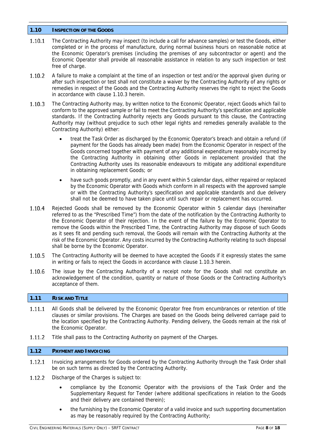# **1.10 INSPECTION OF THE GOODS**

- The Contracting Authority may inspect (to include a call for advance samples) or test the Goods, either 1.10.1 completed or in the process of manufacture, during normal business hours on reasonable notice at the Economic Operator's premises (including the premises of any subcontractor or agent) and the Economic Operator shall provide all reasonable assistance in relation to any such inspection or test free of charge.
- $1.10.2$ A failure to make a complaint at the time of an inspection or test and/or the approval given during or after such inspection or test shall not constitute a waiver by the Contracting Authority of any rights or remedies in respect of the Goods and the Contracting Authority reserves the right to reject the Goods in accordance with clause 1.10.3 herein.
- 1.10.3 The Contracting Authority may, by written notice to the Economic Operator, reject Goods which fail to conform to the approved sample or fail to meet the Contracting Authority's specification and applicable standards. If the Contracting Authority rejects any Goods pursuant to this clause, the Contracting Authority may (without prejudice to such other legal rights and remedies generally available to the Contracting Authority) either:
	- treat the Task Order as discharged by the Economic Operator's breach and obtain a refund (if payment for the Goods has already been made) from the Economic Operator in respect of the Goods concerned together with payment of any additional expenditure reasonably incurred by the Contracting Authority in obtaining other Goods in replacement provided that the Contracting Authority uses its reasonable endeavours to mitigate any additional expenditure in obtaining replacement Goods; or
	- have such goods promptly, and in any event within 5 calendar days, either repaired or replaced by the Economic Operator with Goods which conform in all respects with the approved sample or with the Contracting Authority's specification and applicable standards and due delivery shall not be deemed to have taken place until such repair or replacement has occurred.
- $1.10.4$ Rejected Goods shall be removed by the Economic Operator within 5 calendar days (hereinafter referred to as the "Prescribed Time") from the date of the notification by the Contracting Authority to the Economic Operator of their rejection. In the event of the failure by the Economic Operator to remove the Goods within the Prescribed Time, the Contracting Authority may dispose of such Goods as it sees fit and pending such removal, the Goods will remain with the Contracting Authority at the risk of the Economic Operator. Any costs incurred by the Contracting Authority relating to such disposal shall be borne by the Economic Operator.
- 1.10.5 The Contracting Authority will be deemed to have accepted the Goods if it expressly states the same in writing or fails to reject the Goods in accordance with clause 1.10.3 herein.
- 1.10.6 The issue by the Contracting Authority of a receipt note for the Goods shall not constitute an acknowledgement of the condition, quantity or nature of those Goods or the Contracting Authority's acceptance of them.

# **1.11 RISK AND TITLE**

- 1.11.1 All Goods shall be delivered by the Economic Operator free from encumbrances or retention of title clauses or similar provisions. The Charges are based on the Goods being delivered carriage paid to the location specified by the Contracting Authority. Pending delivery, the Goods remain at the risk of the Economic Operator.
- $1.11.2$ Title shall pass to the Contracting Authority on payment of the Charges.

# **1.12 PAYMENT AND INVOICING**

- 1.12.1 Invoicing arrangements for Goods ordered by the Contracting Authority through the Task Order shall be on such terms as directed by the Contracting Authority.
- $1.12.2$ Discharge of the Charges is subject to:
	- compliance by the Economic Operator with the provisions of the Task Order and the Supplementary Request for Tender (where additional specifications in relation to the Goods and their delivery are contained therein);
	- the furnishing by the Economic Operator of a valid invoice and such supporting documentation as may be reasonably required by the Contracting Authority;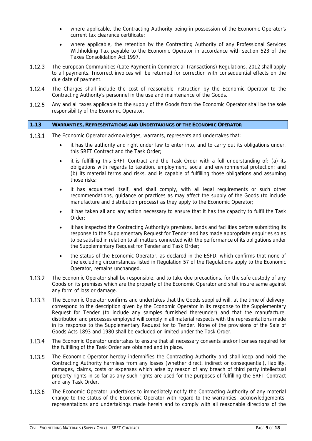- where applicable, the Contracting Authority being in possession of the Economic Operator's current tax clearance certificate;
- where applicable, the retention by the Contracting Authority of any Professional Services Withholding Tax payable to the Economic Operator in accordance with section 523 of the Taxes Consolidation Act 1997.
- $1.12.3$ The European Communities (Late Payment in Commercial Transactions) Regulations, 2012 shall apply to all payments. Incorrect invoices will be returned for correction with consequential effects on the due date of payment.
- 1.12.4 The Charges shall include the cost of reasonable instruction by the Economic Operator to the Contracting Authority's personnel in the use and maintenance of the Goods.
- 1.12.5 Any and all taxes applicable to the supply of the Goods from the Economic Operator shall be the sole responsibility of the Economic Operator.

# **1.13 WARRANTIES, REPRESENTATIONS AND UNDERTAKINGS OF THE ECONOMIC OPERATOR**

- $1.13.1$ The Economic Operator acknowledges, warrants, represents and undertakes that:
	- it has the authority and right under law to enter into, and to carry out its obligations under, this SRFT Contract and the Task Order;
	- it is fulfilling this SRFT Contract and the Task Order with a full understanding of: (a) its obligations with regards to taxation, employment, social and environmental protection; and (b) its material terms and risks, and is capable of fulfilling those obligations and assuming those risks;
	- it has acquainted itself, and shall comply, with all legal requirements or such other recommendations, guidance or practices as may affect the supply of the Goods (to include manufacture and distribution process) as they apply to the Economic Operator;
	- it has taken all and any action necessary to ensure that it has the capacity to fulfil the Task Order;
	- it has inspected the Contracting Authority's premises, lands and facilities before submitting its response to the Supplementary Request for Tender and has made appropriate enquiries so as to be satisfied in relation to all matters connected with the performance of its obligations under the Supplementary Request for Tender and Task Order;
	- the status of the Economic Operator, as declared in the ESPD, which confirms that none of the excluding circumstances listed in Regulation 57 of the Regulations apply to the Economic Operator, remains unchanged.
- The Economic Operator shall be responsible, and to take due precautions, for the safe custody of any 1.13.2 Goods on its premises which are the property of the Economic Operator and shall insure same against any form of loss or damage.
- $1.13.3$ The Economic Operator confirms and undertakes that the Goods supplied will, at the time of delivery, correspond to the description given by the Economic Operator in its response to the Supplementary Request for Tender (to include any samples furnished thereunder) and that the manufacture, distribution and processes employed will comply in all material respects with the representations made in its response to the Supplementary Request for to Tender. None of the provisions of the Sale of Goods Acts 1893 and 1980 shall be excluded or limited under the Task Order.
- 1.13.4 The Economic Operator undertakes to ensure that all necessary consents and/or licenses required for the fulfilling of the Task Order are obtained and in place.
- The Economic Operator hereby indemnifies the Contracting Authority and shall keep and hold the 1.13.5 Contracting Authority harmless from any losses (whether direct, indirect or consequential), liability, damages, claims, costs or expenses which arise by reason of any breach of third party intellectual property rights in so far as any such rights are used for the purposes of fulfilling the SRFT Contract and any Task Order.
- 1.13.6 The Economic Operator undertakes to immediately notify the Contracting Authority of any material change to the status of the Economic Operator with regard to the warranties, acknowledgements, representations and undertakings made herein and to comply with all reasonable directions of the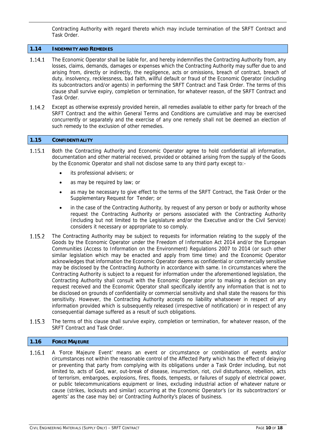Contracting Authority with regard thereto which may include termination of the SRFT Contract and Task Order.

# **1.14 INDEMNITY AND REMEDIES**

- 1.14.1 The Economic Operator shall be liable for, and hereby indemnifies the Contracting Authority from, any losses, claims, demands, damages or expenses which the Contracting Authority may suffer due to and arising from, directly or indirectly, the negligence, acts or omissions, breach of contract, breach of duty, insolvency, recklessness, bad faith, willful default or fraud of the Economic Operator (including its subcontractors and/or agents) in performing the SRFT Contract and Task Order. The terms of this clause shall survive expiry, completion or termination, for whatever reason, of the SRFT Contract and Task Order.
- $1.14.2$ Except as otherwise expressly provided herein, all remedies available to either party for breach of the SRFT Contract and the within General Terms and Conditions are cumulative and may be exercised concurrently or separately and the exercise of any one remedy shall not be deemed an election of such remedy to the exclusion of other remedies.

#### **1.15 CONFIDENTIALITY**

- 1.15.1 Both the Contracting Authority and Economic Operator agree to hold confidential all information, documentation and other material received, provided or obtained arising from the supply of the Goods by the Economic Operator and shall not disclose same to any third party except to:
	- its professional advisers; or
	- as may be required by law; or
	- as may be necessary to give effect to the terms of the SRFT Contract, the Task Order or the Supplementary Request for Tender; or
	- in the case of the Contracting Authority, by request of any person or body or authority whose request the Contracting Authority or persons associated with the Contracting Authority (including but not limited to the Legislature and/or the Executive and/or the Civil Service) considers it necessary or appropriate to so comply.
- The Contracting Authority may be subject to requests for information relating to the supply of the 1.15.2 Goods by the Economic Operator under the Freedom of Information Act 2014 and/or the European Communities (Access to Information on the Environment) Regulations 2007 to 2014 (or such other similar legislation which may be enacted and apply from time time) and the Economic Operator acknowledges that information the Economic Operator deems as confidential or commercially sensitive may be disclosed by the Contracting Authority in accordance with same. In circumstances where the Contracting Authority is subject to a request for information under the aforementioned legislation, the Contracting Authority shall consult with the Economic Operator prior to making a decision on any request received and the Economic Operator shall specifically identify any information that is not to be disclosed on grounds of confidentiality or commercial sensitivity and shall state the reasons for this sensitivity. However, the Contracting Authority accepts no liability whatsoever in respect of any information provided which is subsequently released (irrespective of notification) or in respect of any consequential damage suffered as a result of such obligations.
- The terms of this clause shall survive expiry, completion or termination, for whatever reason, of the 1.15.3 SRFT Contract and Task Order.

#### **1.16 FORCE MAJEURE**

1.16.1 A 'Force Majeure Event' means an event or circumstance or combination of events and/or circumstances not within the reasonable control of the Affected Party which has the effect of delaying or preventing that party from complying with its obligations under a Task Order including, but not limited to, acts of God, war, out-break of disease, insurrection, riot, civil disturbance, rebellion, acts of terrorism, embargoes, explosions, fires, floods, tempests, or failures of supply of electrical power, or public telecommunications equipment or lines, excluding industrial action of whatever nature or cause (strikes, lockouts and similar) occurring at the Economic Operator's (or its subcontractors' or agents' as the case may be) or Contracting Authority's places of business.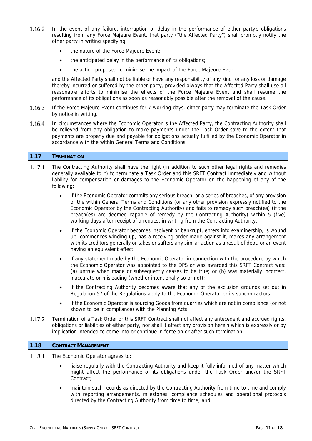- 1.16.2 In the event of any failure, interruption or delay in the performance of either party's obligations resulting from any Force Majeure Event, that party ("the Affected Party") shall promptly notify the other party in writing specifying:
	- the nature of the Force Majeure Event;
	- the anticipated delay in the performance of its obligations;
	- the action proposed to minimise the impact of the Force Majeure Event;

and the Affected Party shall not be liable or have any responsibility of any kind for any loss or damage thereby incurred or suffered by the other party, provided always that the Affected Party shall use all reasonable efforts to minimise the effects of the Force Majeure Event and shall resume the performance of its obligations as soon as reasonably possible after the removal of the cause.

- $1.16.3$ If the Force Majeure Event continues for 7 working days, either party may terminate the Task Order by notice in writing.
- 1.16.4 In circumstances where the Economic Operator is the Affected Party, the Contracting Authority shall be relieved from any obligation to make payments under the Task Order save to the extent that payments are properly due and payable for obligations actually fulfilled by the Economic Operator in accordance with the within General Terms and Conditions.

# **1.17 TERMINATION**

- 1.17.1 The Contracting Authority shall have the right (in addition to such other legal rights and remedies generally available to it) to terminate a Task Order and this SRFT Contract immediately and without liability for compensation or damages to the Economic Operator on the happening of any of the following:
	- if the Economic Operator commits any serious breach, or a series of breaches, of any provision of the within General Terms and Conditions (or any other provision expressly notified to the Economic Operator by the Contracting Authority) and fails to remedy such breach(es) (if the breach(es) are deemed capable of remedy by the Contracting Authority) within 5 (five) working days after receipt of a request in writing from the Contracting Authority;
	- if the Economic Operator becomes insolvent or bankrupt, enters into examinership, is wound up, commences winding up, has a receiving order made against it, makes any arrangement with its creditors generally or takes or suffers any similar action as a result of debt, or an event having an equivalent effect;
	- if any statement made by the Economic Operator in connection with the procedure by which the Economic Operator was appointed to the DPS or was awarded this SRFT Contract was: (a) untrue when made or subsequently ceases to be true; or (b) was materially incorrect, inaccurate or misleading (whether intentionally so or not);
	- if the Contracting Authority becomes aware that any of the exclusion grounds set out in Regulation 57 of the Regulations apply to the Economic Operator or its subcontractors.
	- if the Economic Operator is sourcing Goods from quarries which are not in compliance (or not shown to be in compliance) with the Planning Acts.
- Termination of a Task Order or this SRFT Contract shall not affect any antecedent and accrued rights, 1.17.2 obligations or liabilities of either party, nor shall it affect any provision herein which is expressly or by implication intended to come into or continue in force on or after such termination.

#### **1.18 CONTRACT MANAGEMENT**

- The Economic Operator agrees to: 1.18.1
	- liaise regularly with the Contracting Authority and keep it fully informed of any matter which might affect the performance of its obligations under the Task Order and/or the SRFT Contract;
	- maintain such records as directed by the Contracting Authority from time to time and comply with reporting arrangements, milestones, compliance schedules and operational protocols directed by the Contracting Authority from time to time; and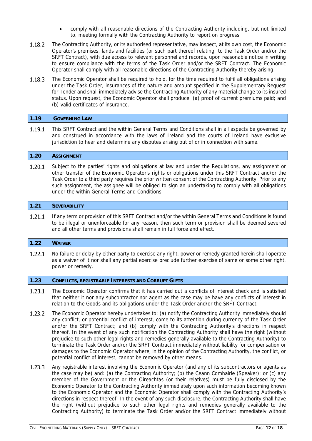- comply with all reasonable directions of the Contracting Authority including, but not limited to, meeting formally with the Contracting Authority to report on progress.
- 1.18.2 The Contracting Authority, or its authorised representative, may inspect, at its own cost, the Economic Operator's premises, lands and facilities (or such part thereof relating to the Task Order and/or the SRFT Contract), with due access to relevant personnel and records, upon reasonable notice in writing to ensure compliance with the terms of the Task Order and/or the SRFT Contract. The Economic Operator shall comply with all reasonable directions of the Contracting Authority thereby arising.
- 1.18.3 The Economic Operator shall be required to hold, for the time required to fulfil all obligations arising under the Task Order, insurances of the nature and amount specified in the Supplementary Request for Tender and shall immediately advise the Contracting Authority of any material change to its insured status. Upon request, the Economic Operator shall produce: (a) proof of current premiums paid; and (b) valid certificates of insurance.

# **1.19 GOVERNING LAW**

1.19.1 This SRFT Contract and the within General Terms and Conditions shall in all aspects be governed by and construed in accordance with the laws of Ireland and the courts of Ireland have exclusive jurisdiction to hear and determine any disputes arising out of or in connection with same.

# **1.20 ASSIGNMENT**

 $1.20.1$ Subject to the parties' rights and obligations at law and under the Regulations, any assignment or other transfer of the Economic Operator's rights or obligations under this SRFT Contract and/or the Task Order to a third party requires the prior written consent of the Contracting Authority. Prior to any such assignment, the assignee will be obliged to sign an undertaking to comply with all obligations under the within General Terms and Conditions.

# **1.21 SEVERABILITY**

 $1.21.1$ If any term or provision of this SRFT Contract and/or the within General Terms and Conditions is found to be illegal or unenforceable for any reason, then such term or provision shall be deemed severed and all other terms and provisions shall remain in full force and effect.

# **1.22 WAIVER**

1.22.1 No failure or delay by either party to exercise any right, power or remedy granted herein shall operate as a waiver of it nor shall any partial exercise preclude further exercise of same or some other right, power or remedy.

# **1.23 CONFLICTS, REGISTRABLE INTERESTS AND CORRUPT GIFTS**

- 1.23.1 The Economic Operator confirms that it has carried out a conflicts of interest check and is satisfied that neither it nor any subcontractor nor agent as the case may be have any conflicts of interest in relation to the Goods and its obligations under the Task Order and/or the SRFT Contract.
- $1.23.2$ The Economic Operator hereby undertakes to: (a) notify the Contracting Authority immediately should any conflict, or potential conflict of interest, come to its attention during currency of the Task Order and/or the SRFT Contract; and (b) comply with the Contracting Authority's directions in respect thereof. In the event of any such notification the Contracting Authority shall have the right (without prejudice to such other legal rights and remedies generally available to the Contracting Authority) to terminate the Task Order and/or the SRFT Contract immediately without liability for compensation or damages to the Economic Operator where, in the opinion of the Contracting Authority, the conflict, or potential conflict of interest, cannot be removed by other means.
- 1.23.3 Any registrable interest involving the Economic Operator (and any of its subcontractors or agents as the case may be) and: (a) the Contracting Authority; (b) the Ceann Comhairle (Speaker); or (c) any member of the Government or the Oireachtas (or their relatives) must be fully disclosed by the Economic Operator to the Contracting Authority immediately upon such information becoming known to the Economic Operator and the Economic Operator shall comply with the Contracting Authority's directions in respect thereof. In the event of any such disclosure, the Contracting Authority shall have the right (without prejudice to such other legal rights and remedies generally available to the Contracting Authority) to terminate the Task Order and/or the SRFT Contract immediately without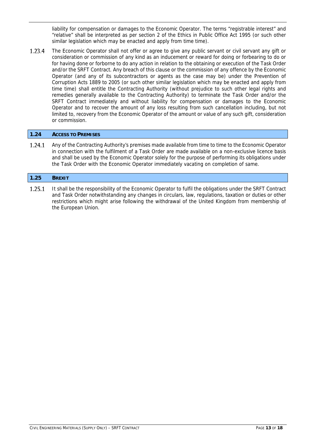liability for compensation or damages to the Economic Operator. The terms "registrable interest" and "relative" shall be interpreted as per section 2 of the Ethics in Public Office Act 1995 (or such other similar legislation which may be enacted and apply from time time).

1.23.4 The Economic Operator shall not offer or agree to give any public servant or civil servant any gift or consideration or commission of any kind as an inducement or reward for doing or forbearing to do or for having done or forborne to do any action in relation to the obtaining or execution of the Task Order and/or the SRFT Contract. Any breach of this clause or the commission of any offence by the Economic Operator (and any of its subcontractors or agents as the case may be) under the Prevention of Corruption Acts 1889 to 2005 (or such other similar legislation which may be enacted and apply from time time) shall entitle the Contracting Authority (without prejudice to such other legal rights and remedies generally available to the Contracting Authority) to terminate the Task Order and/or the SRFT Contract immediately and without liability for compensation or damages to the Economic Operator and to recover the amount of any loss resulting from such cancellation including, but not limited to, recovery from the Economic Operator of the amount or value of any such gift, consideration or commission.

# **1.24 ACCESS TO PREMISES**

1.24.1 Any of the Contracting Authority's premises made available from time to time to the Economic Operator in connection with the fulfilment of a Task Order are made available on a non-exclusive licence basis and shall be used by the Economic Operator solely for the purpose of performing its obligations under the Task Order with the Economic Operator immediately vacating on completion of same.

#### **1.25 BREXIT**

1.25.1 It shall be the responsibility of the Economic Operator to fulfil the obligations under the SRFT Contract and Task Order notwithstanding any changes in circulars, law, regulations, taxation or duties or other restrictions which might arise following the withdrawal of the United Kingdom from membership of the European Union.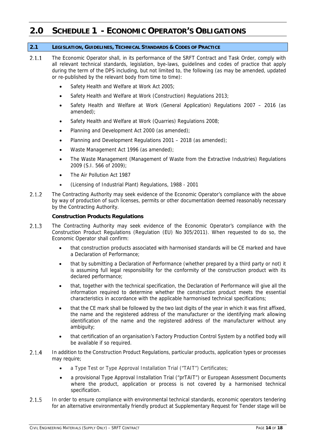# **2.0 SCHEDULE 1 - ECONOMIC OPERATOR'S OBLIGATIONS**

# **2.1 LEGISLATION, GUIDELINES, TECHNICAL STANDARDS & CODES OF PRACTICE**

- $2.1.1$ The Economic Operator shall, in its performance of the SRFT Contract and Task Order, comply with all relevant technical standards, legislation, bye-laws, guidelines and codes of practice that apply during the term of the DPS including, but not limited to, the following (as may be amended, updated or re-published by the relevant body from time to time):
	- Safety Health and Welfare at Work Act 2005;
	- Safety Health and Welfare at Work (Construction) Regulations 2013;
	- Safety Health and Welfare at Work (General Application) Regulations 2007 2016 (as amended);
	- Safety Health and Welfare at Work (Quarries) Regulations 2008;
	- Planning and Development Act 2000 (as amended);
	- Planning and Development Regulations 2001 2018 (as amended);
	- Waste Management Act 1996 (as amended);
	- The Waste Management (Management of Waste from the Extractive Industries) Regulations 2009 (S.I. 566 of 2009);
	- The Air Pollution Act 1987
	- (Licensing of Industrial Plant) Regulations, 1988 2001
- $2.1.2$ The Contracting Authority may seek evidence of the Economic Operator's compliance with the above by way of production of such licenses, permits or other documentation deemed reasonably necessary by the Contracting Authority.

# **Construction Products Regulations**

- $2.1.3$ The Contracting Authority may seek evidence of the Economic Operator's compliance with the Construction Product Regulations (Regulation (EU) No 305/2011). When requested to do so, the Economic Operator shall confirm:
	- that construction products associated with harmonised standards will be CE marked and have a Declaration of Performance;
	- that by submitting a Declaration of Performance (whether prepared by a third party or not) it is assuming full legal responsibility for the conformity of the construction product with its declared performance;
	- that, together with the technical specification, the Declaration of Performance will give all the information required to determine whether the construction product meets the essential characteristics in accordance with the applicable harmonised technical specifications;
	- that the CE mark shall be followed by the two last digits of the year in which it was first affixed, the name and the registered address of the manufacturer or the identifying mark allowing identification of the name and the registered address of the manufacturer without any ambiguity;
	- that certification of an organisation's Factory Production Control System by a notified body will be available if so required.
- $2.1.4$ In addition to the Construction Product Regulations, particular products, application types or processes may require:
	- a Type Test or Type Approval Installation Trial ("TAIT") Certificates;
	- a provisional Type Approval Installation Trial ("prTAIT") or European Assessment Documents where the product, application or process is not covered by a harmonised technical specification.
- $2.1.5$ In order to ensure compliance with environmental technical standards, economic operators tendering for an alternative environmentally friendly product at Supplementary Request for Tender stage will be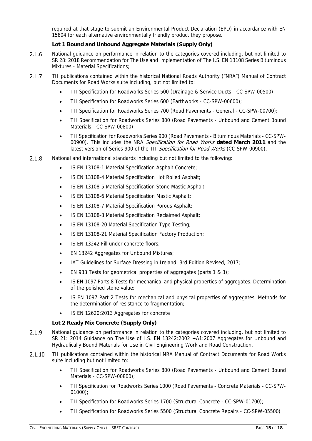required at that stage to submit an Environmental Product Declaration (EPD) in accordance with EN 15804 for each alternative environmentally friendly product they propose.

# **Lot 1 Bound and Unbound Aggregate Materials (Supply Only)**

- $2.1.6$ National guidance on performance in relation to the categories covered including, but not limited to SR 28: 2018 Recommendation for The Use and Implementation of The I.S. EN 13108 Series Bituminous Mixtures - Material Specifications;
- TII publications contained within the historical National Roads Authority ("NRA") Manual of Contract  $2.1.7$ Documents for Road Works suite including, but not limited to:
	- TII Specification for Roadworks Series 500 (Drainage & Service Ducts CC-SPW-00500);
	- TII Specification for Roadworks Series 600 (Earthworks CC-SPW-00600);
	- TII Specification for Roadworks Series 700 (Road Pavements General CC-SPW-00700);
	- TII Specification for Roadworks Series 800 (Road Pavements Unbound and Cement Bound Materials - CC-SPW-00800);
	- TII Specification for Roadworks Series 900 (Road Pavements Bituminous Materials CC-SPW-00900). This includes the NRA Specification for Road Works **dated March 2011** and the latest version of Series 900 of the TII Specification for Road Works (CC-SPW-00900).
- $2.1.8$ National and international standards including but not limited to the following:
	- IS EN 13108-1 Material Specification Asphalt Concrete;
	- IS EN 13108-4 Material Specification Hot Rolled Asphalt;
	- IS EN 13108-5 Material Specification Stone Mastic Asphalt;
	- IS EN 13108-6 Material Specification Mastic Asphalt;
	- IS EN 13108-7 Material Specification Porous Asphalt;
	- IS EN 13108-8 Material Specification Reclaimed Asphalt;
	- IS EN 13108-20 Material Specification Type Testing;
	- IS EN 13108-21 Material Specification Factory Production;
	- IS EN 13242 Fill under concrete floors;
	- EN 13242 Aggregates for Unbound Mixtures;
	- IAT Guidelines for Surface Dressing in Ireland, 3rd Edition Revised, 2017;
	- EN 933 Tests for geometrical properties of aggregates (parts 1 & 3);
	- IS EN 1097 Parts 8 Tests for mechanical and physical properties of aggregates. Determination of the polished stone value;
	- IS EN 1097 Part 2 Tests for mechanical and physical properties of aggregates. Methods for the determination of resistance to fragmentation;
	- IS EN 12620:2013 Aggregates for concrete

# **Lot 2 Ready Mix Concrete (Supply Only)**

- $2.1.9$ National guidance on performance in relation to the categories covered including, but not limited to SR 21: 2014 Guidance on The Use of I.S. EN 13242:2002 +A1:2007 Aggregates for Unbound and Hydraulically Bound Materials for Use in Civil Engineering Work and Road Construction.
- $2.1.10$ TII publications contained within the historical NRA Manual of Contract Documents for Road Works suite including but not limited to:
	- TII Specification for Roadworks Series 800 (Road Pavements Unbound and Cement Bound Materials - CC-SPW-00800);
	- TII Specification for Roadworks Series 1000 (Road Pavements Concrete Materials CC-SPW-01000);
	- TII Specification for Roadworks Series 1700 (Structural Concrete CC-SPW-01700);
	- TII Specification for Roadworks Series 5500 (Structural Concrete Repairs CC-SPW-05500)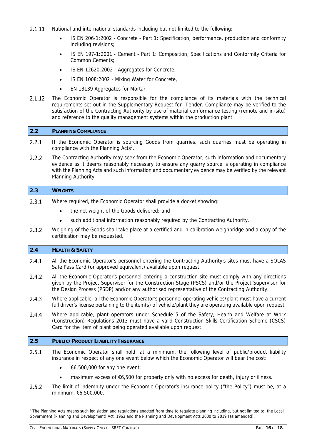- 2.1.11 National and international standards including but not limited to the following:
	- IS EN 206-1:2002 Concrete Part 1: Specification, performance, production and conformity including revisions;
	- IS EN 197-1:2001 Cement Part 1: Composition, Specifications and Conformity Criteria for Common Cements;
	- IS EN 12620:2002 Aggregates for Concrete;
	- IS EN 1008:2002 Mixing Water for Concrete,
	- EN 13139 Aggregates for Mortar
- $2.1.12$ The Economic Operator is responsible for the compliance of its materials with the technical requirements set out in the Supplementary Request for Tender. Compliance may be verified to the satisfaction of the Contracting Authority by use of material conformance testing (remote and in-situ) and reference to the quality management systems within the production plant.

# **2.2 PLANNING COMPLIANCE**

- $2.2.1$ If the Economic Operator is sourcing Goods from quarries, such quarries must be operating in compliance with the Planning Acts<sup>2</sup>.
- $2.2.2$ The Contracting Authority may seek from the Economic Operator, such information and documentary evidence as it deems reasonably necessary to ensure any quarry source is operating in compliance with the Planning Acts and such information and documentary evidence may be verified by the relevant Planning Authority.

# **2.3 WEIGHTS**

- $2.3.1$ Where required, the Economic Operator shall provide a docket showing:
	- the net weight of the Goods delivered; and
	- such additional information reasonably required by the Contracting Authority.
- $2.3.2$ Weighing of the Goods shall take place at a certified and in-calibration weighbridge and a copy of the certification may be requested.

# **2.4 HEALTH & SAFETY**

- $2.4.1$ All the Economic Operator's personnel entering the Contracting Authority's sites must have a SOLAS Safe Pass Card (or approved equivalent) available upon request.
- $2.4.2$ All the Economic Operator's personnel entering a construction site must comply with any directions given by the Project Supervisor for the Construction Stage (PSCS) and/or the Project Supervisor for the Design Process (PSDP) and/or any authorised representative of the Contracting Authority.
- 2.4.3 Where applicable, all the Economic Operator's personnel operating vehicles/plant must have a current full driver's license pertaining to the item(s) of vehicle/plant they are operating available upon request.
- $2.4.4$ Where applicable, plant operators under Schedule 5 of the Safety, Health and Welfare at Work (Construction) Regulations 2013 must have a valid Construction Skills Certification Scheme (CSCS) Card for the item of plant being operated available upon request.

# **2.5 PUBLIC/PRODUCT LIABILITY INSURANCE**

- $2.5.1$ The Economic Operator shall hold, at a minimum, the following level of public/product liability insurance in respect of any one event below which the Economic Operator will bear the cost:
	- $\bullet \quad \epsilon$ 6,500,000 for any one event;
	- maximum excess of €6,500 for property only with no excess for death, injury or illness.
- $2.5.2$ The limit of indemnity under the Economic Operator's insurance policy ("the Policy") must be, at a minimum, €6,500,000.

<sup>&</sup>lt;sup>2</sup> The Planning Acts means such legislation and regulations enacted from time to regulate planning including, but not limited to, the Local Government (Planning and Development) Act, 1963 and the Planning and Development Acts 2000 to 2019 (as amended).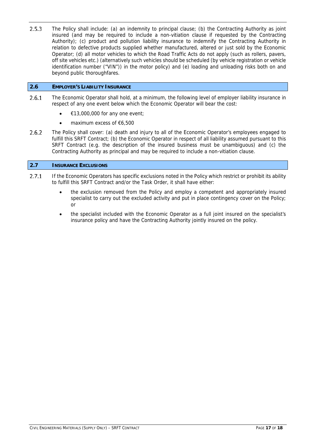$2.5.3$ The Policy shall include: (a) an indemnity to principal clause; (b) the Contracting Authority as joint insured (and may be required to include a non-vitiation clause if requested by the Contracting Authority); (c) product and pollution liability insurance to indemnify the Contracting Authority in relation to defective products supplied whether manufactured, altered or just sold by the Economic Operator; (d) all motor vehicles to which the Road Traffic Acts do not apply (such as rollers, pavers, off site vehicles etc.) (alternatively such vehicles should be scheduled (by vehicle registration or vehicle identification number ("VIN")) in the motor policy) and (e) loading and unloading risks both on and beyond public thoroughfares.

# **2.6 EMPLOYER'S LIABILITY INSURANCE**

- $2.6.1$ The Economic Operator shall hold, at a minimum, the following level of employer liability insurance in respect of any one event below which the Economic Operator will bear the cost:
	- €13,000,000 for any one event;
	- maximum excess of €6,500
- $2.6.2$ The Policy shall cover: (a) death and injury to all of the Economic Operator's employees engaged to fulfill this SRFT Contract; (b) the Economic Operator in respect of all liability assumed pursuant to this SRFT Contract (e.g. the description of the insured business must be unambiguous) and (c) the Contracting Authority as principal and may be required to include a non-vitiation clause.

# **2.7 INSURANCE EXCLUSIONS**

- $2.7.1$ If the Economic Operators has specific exclusions noted in the Policy which restrict or prohibit its ability to fulfill this SRFT Contract and/or the Task Order, it shall have either:
	- the exclusion removed from the Policy and employ a competent and appropriately insured specialist to carry out the excluded activity and put in place contingency cover on the Policy; or
	- the specialist included with the Economic Operator as a full joint insured on the specialist's insurance policy and have the Contracting Authority jointly insured on the policy.